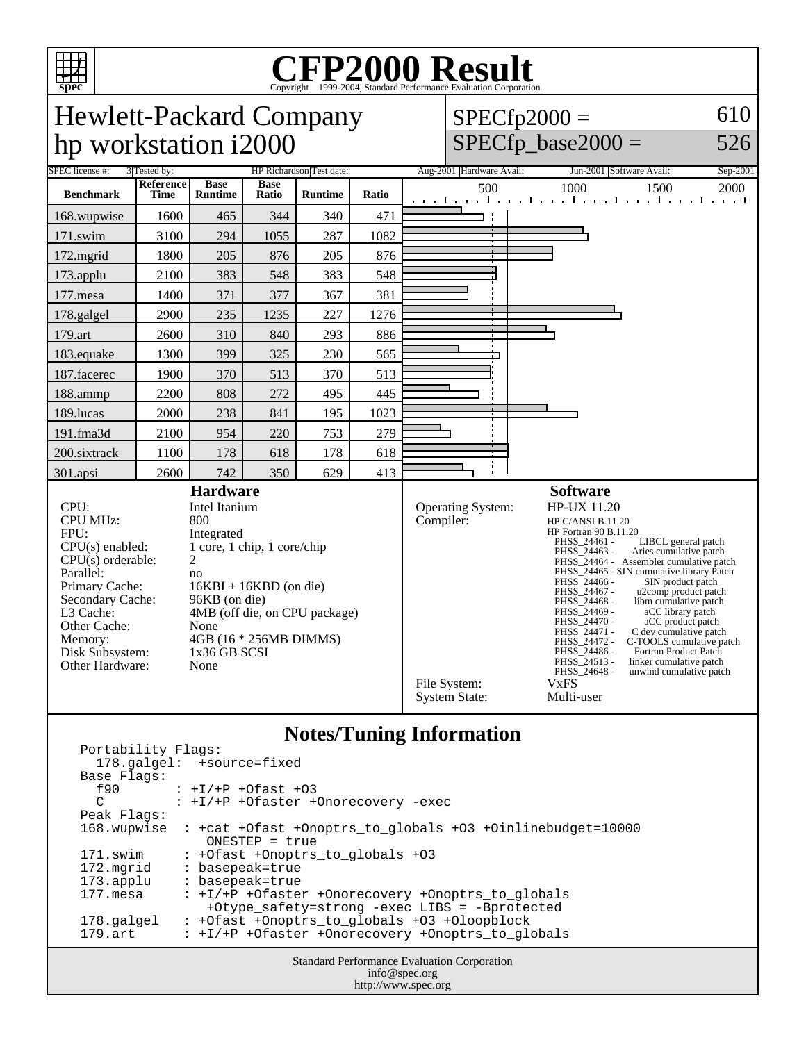

## Copyright ©1999-2004, Standard Performance Evaluation Corporation

| <b>Hewlett-Packard Company</b>                                                                                                                                                                                      |                                                                                                                                                                                                                                         |                               |                      |                          |       |                                |                                                                                                                                                                                                                                                                                                                                                                                                                                                                                                                                                                                                                                                                                          | $SPECfp2000 =$                | 610      |
|---------------------------------------------------------------------------------------------------------------------------------------------------------------------------------------------------------------------|-----------------------------------------------------------------------------------------------------------------------------------------------------------------------------------------------------------------------------------------|-------------------------------|----------------------|--------------------------|-------|--------------------------------|------------------------------------------------------------------------------------------------------------------------------------------------------------------------------------------------------------------------------------------------------------------------------------------------------------------------------------------------------------------------------------------------------------------------------------------------------------------------------------------------------------------------------------------------------------------------------------------------------------------------------------------------------------------------------------------|-------------------------------|----------|
| hp workstation i2000                                                                                                                                                                                                |                                                                                                                                                                                                                                         |                               |                      |                          |       |                                |                                                                                                                                                                                                                                                                                                                                                                                                                                                                                                                                                                                                                                                                                          | $SPECfp\_base2000 =$          | 526      |
| SPEC license #:                                                                                                                                                                                                     | 3 Tested by:                                                                                                                                                                                                                            |                               |                      | HP Richardson Test date: |       |                                | Aug-2001 Hardware Avail:                                                                                                                                                                                                                                                                                                                                                                                                                                                                                                                                                                                                                                                                 | Jun-2001 Software Avail:      | Sep-2001 |
| <b>Benchmark</b>                                                                                                                                                                                                    | <b>Reference</b><br><b>Time</b>                                                                                                                                                                                                         | <b>Base</b><br><b>Runtime</b> | <b>Base</b><br>Ratio | <b>Runtime</b>           | Ratio |                                | 500                                                                                                                                                                                                                                                                                                                                                                                                                                                                                                                                                                                                                                                                                      | 1500<br>1000<br>1 1 1 1 1 1 1 | 2000     |
| 168.wupwise                                                                                                                                                                                                         | 1600                                                                                                                                                                                                                                    | 465                           | 344                  | 340                      | 471   |                                |                                                                                                                                                                                                                                                                                                                                                                                                                                                                                                                                                                                                                                                                                          |                               |          |
| 171.swim                                                                                                                                                                                                            | 3100                                                                                                                                                                                                                                    | 294                           | 1055                 | 287                      | 1082  |                                |                                                                                                                                                                                                                                                                                                                                                                                                                                                                                                                                                                                                                                                                                          |                               |          |
| 172.mgrid                                                                                                                                                                                                           | 1800                                                                                                                                                                                                                                    | 205                           | 876                  | 205                      | 876   |                                |                                                                                                                                                                                                                                                                                                                                                                                                                                                                                                                                                                                                                                                                                          |                               |          |
| 173.applu                                                                                                                                                                                                           | 2100                                                                                                                                                                                                                                    | 383                           | 548                  | 383                      | 548   |                                |                                                                                                                                                                                                                                                                                                                                                                                                                                                                                                                                                                                                                                                                                          |                               |          |
| 177.mesa                                                                                                                                                                                                            | 1400                                                                                                                                                                                                                                    | 371                           | 377                  | 367                      | 381   |                                |                                                                                                                                                                                                                                                                                                                                                                                                                                                                                                                                                                                                                                                                                          |                               |          |
| 178.galgel                                                                                                                                                                                                          | 2900                                                                                                                                                                                                                                    | 235                           | 1235                 | 227                      | 1276  |                                |                                                                                                                                                                                                                                                                                                                                                                                                                                                                                                                                                                                                                                                                                          |                               |          |
| 179.art                                                                                                                                                                                                             | 2600                                                                                                                                                                                                                                    | 310                           | 840                  | 293                      | 886   |                                |                                                                                                                                                                                                                                                                                                                                                                                                                                                                                                                                                                                                                                                                                          |                               |          |
| 183.equake                                                                                                                                                                                                          | 1300                                                                                                                                                                                                                                    | 399                           | 325                  | 230                      | 565   |                                |                                                                                                                                                                                                                                                                                                                                                                                                                                                                                                                                                                                                                                                                                          |                               |          |
| 187.facerec                                                                                                                                                                                                         | 1900                                                                                                                                                                                                                                    | 370                           | 513                  | 370                      | 513   |                                |                                                                                                                                                                                                                                                                                                                                                                                                                                                                                                                                                                                                                                                                                          |                               |          |
| 188.ammp                                                                                                                                                                                                            | 2200                                                                                                                                                                                                                                    | 808                           | 272                  | 495                      | 445   |                                |                                                                                                                                                                                                                                                                                                                                                                                                                                                                                                                                                                                                                                                                                          |                               |          |
| 189.lucas                                                                                                                                                                                                           | 2000                                                                                                                                                                                                                                    | 238                           | 841                  | 195                      | 1023  |                                |                                                                                                                                                                                                                                                                                                                                                                                                                                                                                                                                                                                                                                                                                          |                               |          |
| 191.fma3d                                                                                                                                                                                                           | 2100                                                                                                                                                                                                                                    | 954                           | 220                  | 753                      | 279   |                                |                                                                                                                                                                                                                                                                                                                                                                                                                                                                                                                                                                                                                                                                                          |                               |          |
| 200.sixtrack                                                                                                                                                                                                        | 1100                                                                                                                                                                                                                                    | 178                           | 618                  | 178                      | 618   |                                |                                                                                                                                                                                                                                                                                                                                                                                                                                                                                                                                                                                                                                                                                          |                               |          |
| 301.apsi                                                                                                                                                                                                            | 2600                                                                                                                                                                                                                                    | 742                           | 350                  | 629                      | 413   |                                |                                                                                                                                                                                                                                                                                                                                                                                                                                                                                                                                                                                                                                                                                          |                               |          |
| CPU:<br><b>CPU MHz:</b><br>FPU:<br>$CPU(s)$ enabled:<br>$CPU(s)$ orderable:<br>Parallel:<br>Primary Cache:<br>Secondary Cache:<br>L3 Cache:<br>Other Cache:<br>Memory:<br>Disk Subsystem:<br><b>Other Hardware:</b> | <b>Hardware</b><br>Intel Itanium<br>800<br>Integrated<br>1 core, 1 chip, 1 core/chip<br>2<br>no<br>$16KBI + 16KBD$ (on die)<br>96KB (on die)<br>4MB (off die, on CPU package)<br>None<br>4GB (16 * 256MB DIMMS)<br>1x36 GB SCSI<br>None |                               |                      |                          |       | Operating System:<br>Compiler: | <b>Software</b><br><b>HP-UX 11.20</b><br>HP C/ANSI B.11.20<br><b>HP</b> Fortran 90 B.11.20<br>PHSS 24461 -<br>LIBCL general patch<br>PHSS_24463 -<br>Aries cumulative patch<br>PHSS_24464 - Assembler cumulative patch<br>PHSS_24465 - SIN cumulative library Patch<br>PHSS_24466 -<br>SIN product patch<br>PHSS_24467 -<br>u2comp product patch<br>PHSS_24468 -<br>libm cumulative patch<br>PHSS_24469 -<br>aCC library patch<br>PHSS 24470 -<br>aCC product patch<br>PHSS_24471 -<br>C dev cumulative patch<br>PHSS_24472 -<br>C-TOOLS cumulative patch<br>PHSS_24486 -<br>Fortran Product Patch<br>PHSS_24513 -<br>linker cumulative patch<br>PHSS_24648 -<br>unwind cumulative patch |                               |          |
|                                                                                                                                                                                                                     |                                                                                                                                                                                                                                         |                               |                      |                          |       |                                |                                                                                                                                                                                                                                                                                                                                                                                                                                                                                                                                                                                                                                                                                          |                               |          |

## **Notes/Tuning Information**

System State:

File System: VxFS<br>System State: Multi-user

| Portability Flags:<br>$178$ .galgel: $+$ source=fixed<br>Base Flags:<br>$f90 : +I/+P +0fast +03$<br>: +I/+P +Ofaster +Onorecovery -exec<br>C<br>Peak Flags:<br>$168.$ wupwise : +cat +Ofast +Onoptrs to qlobals +03 +Oinlinebudget=10000<br>$ONESTEP = true$<br>171.swim<br>: +Ofast +Onoptrs to globals +03<br>172.mgrid<br>: basepeak=true<br>: basepeak=true<br>173.applu<br>177.mesa<br>: +I/+P +Ofaster +Onorecovery +Onoptrs to qlobals<br>+Otype safety=strong -exec LIBS = -Bprotected<br>: +Ofast +Onoptrs_to_globals +03 +Oloopblock<br>178.galgel<br>: +I/+P +Ofaster +Onorecovery +Onoptrs to globals<br>179.art |  |  |
|------------------------------------------------------------------------------------------------------------------------------------------------------------------------------------------------------------------------------------------------------------------------------------------------------------------------------------------------------------------------------------------------------------------------------------------------------------------------------------------------------------------------------------------------------------------------------------------------------------------------------|--|--|
|                                                                                                                                                                                                                                                                                                                                                                                                                                                                                                                                                                                                                              |  |  |
|                                                                                                                                                                                                                                                                                                                                                                                                                                                                                                                                                                                                                              |  |  |
|                                                                                                                                                                                                                                                                                                                                                                                                                                                                                                                                                                                                                              |  |  |
|                                                                                                                                                                                                                                                                                                                                                                                                                                                                                                                                                                                                                              |  |  |
|                                                                                                                                                                                                                                                                                                                                                                                                                                                                                                                                                                                                                              |  |  |
|                                                                                                                                                                                                                                                                                                                                                                                                                                                                                                                                                                                                                              |  |  |
|                                                                                                                                                                                                                                                                                                                                                                                                                                                                                                                                                                                                                              |  |  |
|                                                                                                                                                                                                                                                                                                                                                                                                                                                                                                                                                                                                                              |  |  |
|                                                                                                                                                                                                                                                                                                                                                                                                                                                                                                                                                                                                                              |  |  |
|                                                                                                                                                                                                                                                                                                                                                                                                                                                                                                                                                                                                                              |  |  |
|                                                                                                                                                                                                                                                                                                                                                                                                                                                                                                                                                                                                                              |  |  |
|                                                                                                                                                                                                                                                                                                                                                                                                                                                                                                                                                                                                                              |  |  |
|                                                                                                                                                                                                                                                                                                                                                                                                                                                                                                                                                                                                                              |  |  |
|                                                                                                                                                                                                                                                                                                                                                                                                                                                                                                                                                                                                                              |  |  |
|                                                                                                                                                                                                                                                                                                                                                                                                                                                                                                                                                                                                                              |  |  |
|                                                                                                                                                                                                                                                                                                                                                                                                                                                                                                                                                                                                                              |  |  |

Standard Performance Evaluation Corporation info@spec.org http://www.spec.org